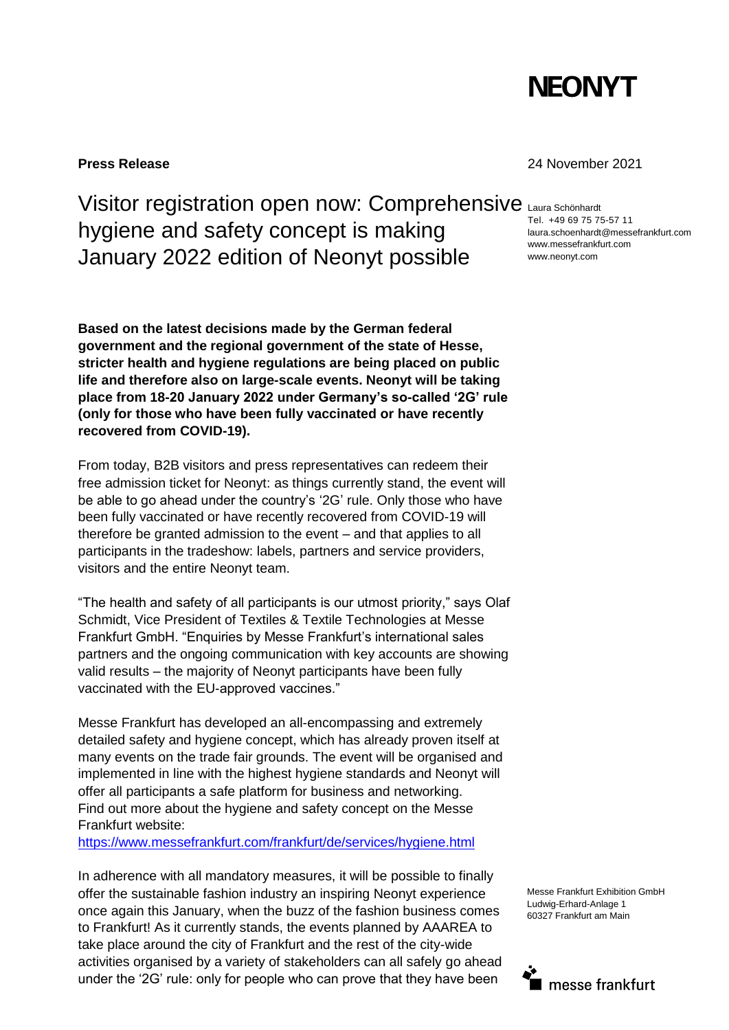

Visitor registration open now: Comprehensive Laura Schönhardt hygiene and safety concept is making January 2022 edition of Neonyt possible

**Based on the latest decisions made by the German federal government and the regional government of the state of Hesse, stricter health and hygiene regulations are being placed on public life and therefore also on large-scale events. Neonyt will be taking place from 18-20 January 2022 under Germany's so-called '2G' rule (only for those who have been fully vaccinated or have recently recovered from COVID-19).**

From today, B2B visitors and press representatives can redeem their free admission ticket for Neonyt: as things currently stand, the event will be able to go ahead under the country's '2G' rule. Only those who have been fully vaccinated or have recently recovered from COVID-19 will therefore be granted admission to the event – and that applies to all participants in the tradeshow: labels, partners and service providers, visitors and the entire Neonyt team.

"The health and safety of all participants is our utmost priority," says Olaf Schmidt, Vice President of Textiles & Textile Technologies at Messe Frankfurt GmbH. "Enquiries by Messe Frankfurt's international sales partners and the ongoing communication with key accounts are showing valid results – the majority of Neonyt participants have been fully vaccinated with the EU-approved vaccines."

Messe Frankfurt has developed an all-encompassing and extremely detailed safety and hygiene concept, which has already proven itself at many events on the trade fair grounds. The event will be organised and implemented in line with the highest hygiene standards and Neonyt will offer all participants a safe platform for business and networking. Find out more about the hygiene and safety concept on the Messe Frankfurt website:

<https://www.messefrankfurt.com/frankfurt/de/services/hygiene.html>

In adherence with all mandatory measures, it will be possible to finally offer the sustainable fashion industry an inspiring Neonyt experience once again this January, when the buzz of the fashion business comes to Frankfurt! As it currently stands, the events planned by AAAREA to take place around the city of Frankfurt and the rest of the city-wide activities organised by a variety of stakeholders can all safely go ahead under the '2G' rule: only for people who can prove that they have been

### **Press Release** 24 November 2021

Tel. +49 69 75 75-57 11 laura.schoenhardt@messefrankfurt.com www.messefrankfurt.com www.neonyt.com

Messe Frankfurt Exhibition GmbH Ludwig-Erhard-Anlage 1 60327 Frankfurt am Main